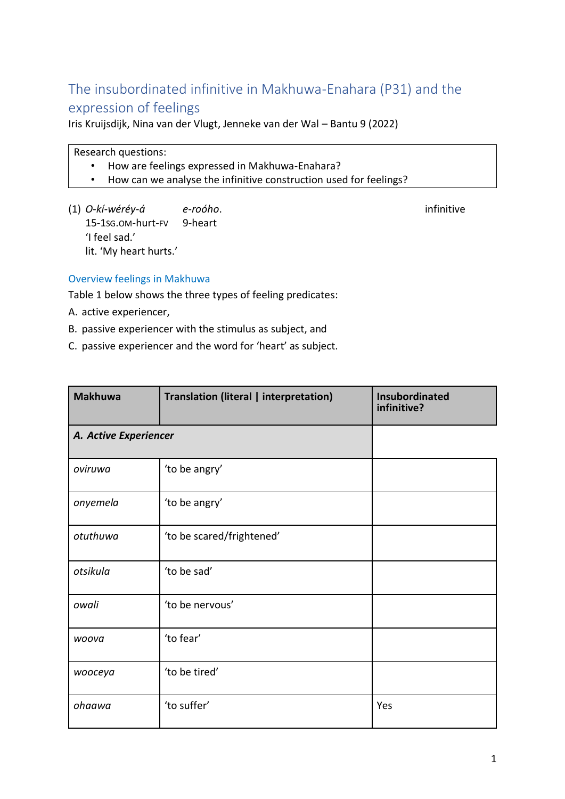# The insubordinated infinitive in Makhuwa-Enahara (P31) and the expression of feelings

Iris Kruijsdijk, Nina van der Vlugt, Jenneke van der Wal – Bantu 9 (2022)

Research questions:

- How are feelings expressed in Makhuwa-Enahara?
- How can we analyse the infinitive construction used for feelings?
- (1) *O-kí-wéréy-á e-roóho*. infinitive 15-1SG.OM-hurt-FV 9-heart 'I feel sad.' lit. 'My heart hurts.'

## Overview feelings in Makhuwa

Table 1 below shows the three types of feeling predicates:

A. active experiencer,

- B. passive experiencer with the stimulus as subject, and
- C. passive experiencer and the word for 'heart' as subject.

| <b>Makhuwa</b>        | Translation (literal   interpretation) | <b>Insubordinated</b><br>infinitive? |
|-----------------------|----------------------------------------|--------------------------------------|
| A. Active Experiencer |                                        |                                      |
| oviruwa               | 'to be angry'                          |                                      |
| onyemela              | 'to be angry'                          |                                      |
| otuthuwa              | 'to be scared/frightened'              |                                      |
| otsikula              | 'to be sad'                            |                                      |
| owali                 | 'to be nervous'                        |                                      |
| woova                 | 'to fear'                              |                                      |
| <i>wooceya</i>        | 'to be tired'                          |                                      |
| ohaawa                | 'to suffer'                            | Yes                                  |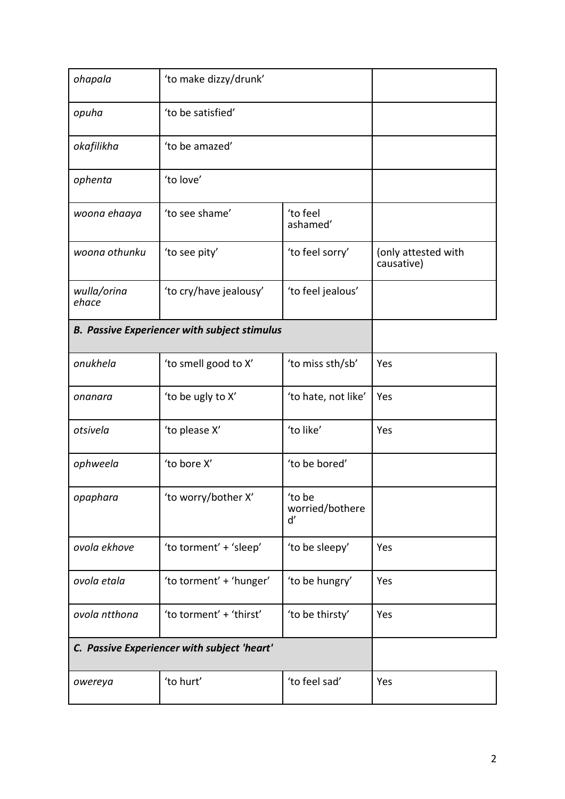| ohapala                                             | 'to make dizzy/drunk'   |                                |                                   |
|-----------------------------------------------------|-------------------------|--------------------------------|-----------------------------------|
| opuha                                               | 'to be satisfied'       |                                |                                   |
| okafilikha                                          | 'to be amazed'          |                                |                                   |
| ophenta                                             | 'to love'               |                                |                                   |
| woona ehaaya                                        | 'to see shame'          |                                |                                   |
| woona othunku                                       | 'to see pity'           | 'to feel sorry'                | (only attested with<br>causative) |
| wulla/orina<br>ehace                                | 'to cry/have jealousy'  |                                |                                   |
| <b>B. Passive Experiencer with subject stimulus</b> |                         |                                |                                   |
| onukhela                                            | 'to smell good to X'    | 'to miss sth/sb'               | Yes                               |
| onanara                                             | 'to be ugly to X'       | 'to hate, not like'            | Yes                               |
| otsivela                                            | 'to please X'           | 'to like'                      | Yes                               |
| ophweela                                            | 'to bore X'             | 'to be bored'                  |                                   |
| opaphara                                            | 'to worry/bother X'     | 'to be<br>worried/bothere<br>ď |                                   |
| ovola ekhove                                        | 'to torment' + 'sleep'  | 'to be sleepy'                 | Yes                               |
| ovola etala                                         | 'to torment' + 'hunger' | 'to be hungry'                 | Yes                               |
| ovola ntthona                                       | 'to torment' + 'thirst' | Yes                            |                                   |
| C. Passive Experiencer with subject 'heart'         |                         |                                |                                   |
| owereya                                             | 'to hurt'               | 'to feel sad'                  | Yes                               |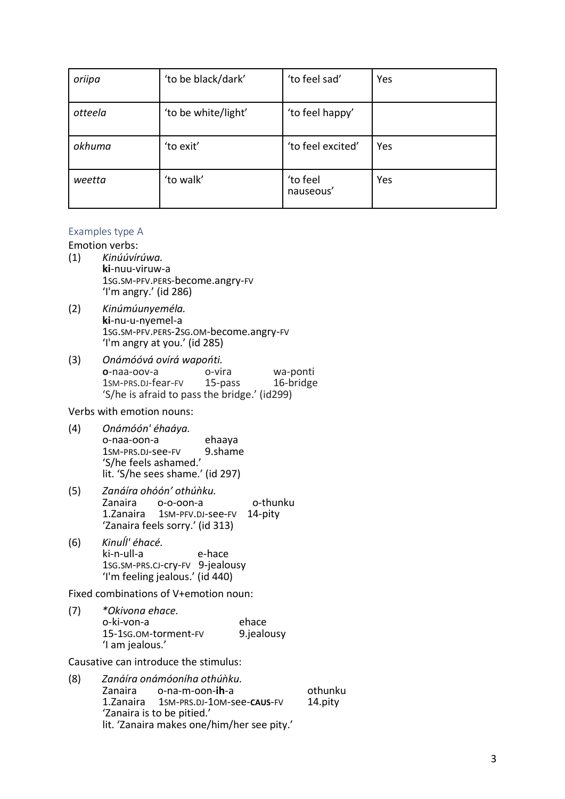| oriipa  | 'to be black/dark'  | 'to feel sad'         | Yes |
|---------|---------------------|-----------------------|-----|
| otteela | 'to be white/light' | 'to feel happy'       |     |
| okhuma  | 'to exit'           | 'to feel excited'     | Yes |
| weetta  | 'to walk'           | 'to feel<br>nauseous' | Yes |

#### Examples type A

Emotion verbs:

- (1) *Kinúúvírúwa.* **ki**-nuu-viruw-a 1SG.SM-PFV.PERS-become.angry-FV 'I'm angry.' (id 286)
- (2) *Kinúmúunyeméla.* **ki**-nu-u-nyemel-a 1SG.SM-PFV.PERS-2SG.OM-become.angry-FV 'I'm angry at you.' (id 285)
- (3) *Onámóóvá ovírá wapońti.* **o**-naa-oov-a o-vira wa-ponti<br>1SM-PRS.DJ-fear-FV 15-pass 16-bridge 1sm-PRS.DJ-fear-FV 'S/he is afraid to pass the bridge.' (id299)

Verbs with emotion nouns:

- (4) *Onámóón' éhaáya.* o-naa-oon-a ehaaya<br>1sm-prs.pJ-see-FV 9.shame 1SM-PRS.DI-See-FV 'S/he feels ashamed.' lit. 'S/he sees shame.' (id 297)
- (5) *Zanáíra ohóón' othúǹku.* o-o-oon-a o-thunku 1.Zanaira 1SM-PFV.DJ-see-FV 14-pity 'Zanaira feels sorry.' (id 313)
- (6) *Kinuĺl' éhacé.* ki-n-ull-a e-hace 1SG.SM-PRS.CJ-cry-FV 9-jealousy 'I'm feeling jealous.' (id 440)

Fixed combinations of V+emotion noun:

(7) *\*Okivona ehace.* o-ki-von-a ehace 15-1SG.OM-torment-FV 9.jealousy 'I am jealous.'

Causative can introduce the stimulus:

(8) *Zanáíra onámóoníha othúǹku.* Zanaira o-na-m-oon-**ih**-a othunku 1.Zanaira 1SM-PRS.DJ-1OM-see-**CAUS**-FV 14.pity 'Zanaira is to be pitied.' lit. 'Zanaira makes one/him/her see pity.'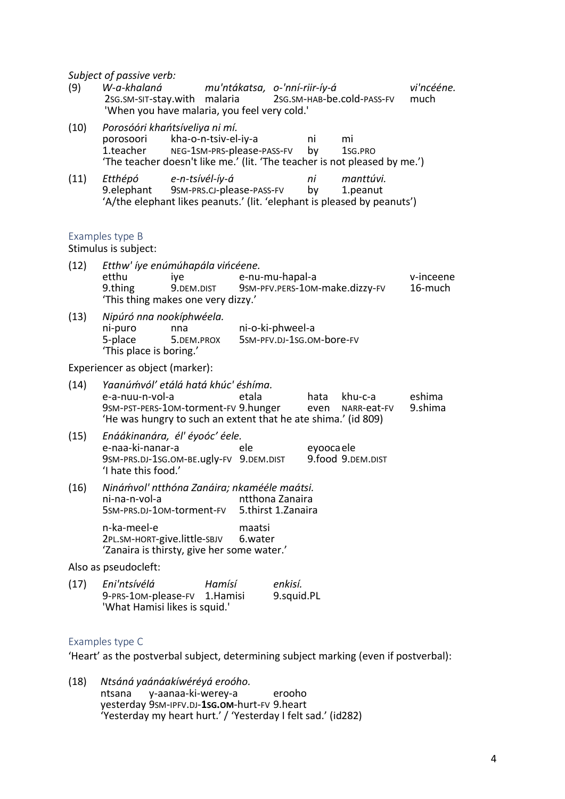*Subject of passive verb:*

| (9)                  | Subject of passive verb:<br>W-a-khalaná<br>2sg.sm-sit-stay.with<br>'When you have malaria, you feel very cold.'                                                 |                                                    | malaria                                |                                               | mu'ntákatsa, o-'nní-riir-íy-á |              | 2SG.SM-HAB-be.cold-PASS-FV     | vi'ncééne.<br>much   |
|----------------------|-----------------------------------------------------------------------------------------------------------------------------------------------------------------|----------------------------------------------------|----------------------------------------|-----------------------------------------------|-------------------------------|--------------|--------------------------------|----------------------|
| (10)                 | Porosóóri khańtsíveliya ni mí.<br>porosoori<br>1.teacher<br>'The teacher doesn't like me.' (lit. 'The teacher is not pleased by me.')                           | kha-o-n-tsiv-el-iy-a<br>NEG-1SM-PRS-please-PASS-FV |                                        |                                               |                               | ni<br>by     | mi<br>1sg.PRO                  |                      |
| (11)                 | Etthépó<br>9.elephant 9sm-PRS.CJ-please-PASS-FV<br>'A/the elephant likes peanuts.' (lit. 'elephant is pleased by peanuts')                                      | e-n-tsívél-íy-á                                    |                                        |                                               |                               | ni<br>by     | manttúvi.<br>1.peanut          |                      |
|                      | Examples type B<br>Stimulus is subject:                                                                                                                         |                                                    |                                        |                                               |                               |              |                                |                      |
| (12)                 | Etthw' íye enúmúhapála vińcéene.<br>etthu<br>9.thing<br>'This thing makes one very dizzy.'                                                                      | iye<br>9.DEM.DIST                                  |                                        |                                               | e-nu-mu-hapal-a               |              | 9SM-PFV.PERS-10M-make.dizzy-FV | v-inceene<br>16-much |
| (13)                 | Nipúró nna nookíphwéela.<br>ni-puro<br>5-place<br>'This place is boring.'                                                                                       | nna<br>5.DEM.PROX                                  |                                        | ni-o-ki-phweel-a<br>5SM-PFV.DJ-1SG.OM-bore-FV |                               |              |                                |                      |
|                      | Experiencer as object (marker):                                                                                                                                 |                                                    |                                        |                                               |                               |              |                                |                      |
| (14)                 | Yaanúmvól' etálá hatá khúc' éshíma.<br>e-a-nuu-n-vol-a<br>9SM-PST-PERS-10M-torment-FV 9.hunger<br>'He was hungry to such an extent that he ate shima.' (id 809) |                                                    |                                        | etala                                         |                               | hata<br>even | khu-c-a<br>NARR-eat-FV         | eshima<br>9.shima    |
| (15)                 | Enáákinanára, él' éyoóc' éele.<br>e-naa-ki-nanar-a<br>9SM-PRS.DJ-1SG.OM-BE.ugly-FV 9.DEM.DIST<br>'I hate this food.'                                            |                                                    | ele<br>eyooca ele<br>9.food 9.DEM.DIST |                                               |                               |              |                                |                      |
| (16)                 | Ninámvol' ntthóna Zanáira; nkamééle maátsi.<br>ni-na-n-vol-a<br>ntthona Zanaira<br>5SM-PRS.DJ-10M-torment-FV<br>5.thirst 1.Zanaira                              |                                                    |                                        |                                               |                               |              |                                |                      |
|                      | n-ka-meel-e<br>2PL.SM-HORT-give.little-SBJV<br>'Zanaira is thirsty, give her some water.'                                                                       |                                                    |                                        | maatsi<br>6.water                             |                               |              |                                |                      |
| Also as pseudocleft: |                                                                                                                                                                 |                                                    |                                        |                                               |                               |              |                                |                      |
| (17)                 | Eni'ntsívélá<br>9-PRS-10M-please-FV<br>'What Hamisi likes is squid.'                                                                                            |                                                    | Hamísí<br>1. Hamisi                    |                                               | enkisí.<br>9.squid.PL         |              |                                |                      |

### Examples type C

'Heart' as the postverbal subject, determining subject marking (even if postverbal):

(18) *Ntsáná yaánáakíwéréyá eroóho.* y-aanaa-ki-werey-a erooho yesterday 9SM-IPFV.DJ-**1SG.OM**-hurt-FV 9.heart 'Yesterday my heart hurt.' / 'Yesterday I felt sad.' (id282)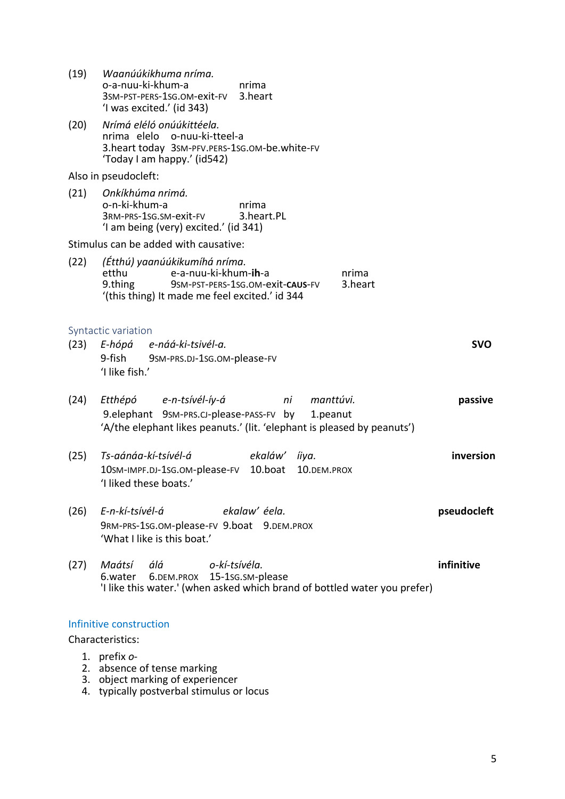| (19) | Waanúúkikhuma nríma.<br>o-a-nuu-ki-khum-a<br>nrima<br>3SM-PST-PERS-1SG.OM-exit-FV<br>3.heart<br>'I was excited.' (id 343)                                              |                  |
|------|------------------------------------------------------------------------------------------------------------------------------------------------------------------------|------------------|
| (20) | Nrímá eléló onúúkittéela.<br>nrima elelo o-nuu-ki-tteel-a<br>3. heart today 3SM-PFV. PERS-1SG.OM-be. white-FV<br>'Today I am happy.' (id542)                           |                  |
|      | Also in pseudocleft:                                                                                                                                                   |                  |
| (21) | Onkíkhúma nrimá.<br>o-n-ki-khum-a<br>nrima<br>3RM-PRS-1SG.SM-exit-FV<br>3.heart.PL<br>'I am being (very) excited.' (id 341)                                            |                  |
|      | Stimulus can be added with causative:                                                                                                                                  |                  |
| (22) | (Étthú) yaanúúkikumíhá nríma.<br>e-a-nuu-ki-khum-ih-a<br>etthu<br>9.thing<br>9SM-PST-PERS-1SG.OM-exit-CAUS-FV<br>'(this thing) It made me feel excited.' id 344        | nrima<br>3.heart |
| (23) | Syntactic variation<br>E-hópá e-náá-ki-tsivél-a.<br>9-fish 9SM-PRS.DJ-1SG.OM-please-FV<br>'I like fish.'                                                               | <b>SVO</b>       |
| (24) | Etthépó e-n-tsívél-íy-á<br>ni manttúvi.<br>9.elephant 9sm-PRS.CJ-please-PASS-FV by 1.peanut<br>'A/the elephant likes peanuts.' (lit. 'elephant is pleased by peanuts') | passive          |
| (25) | Ts-aánáa-kí-tsívél-á<br>ekaláw'<br>íiya.<br>10.boat<br>10sm-IMPF.DJ-1sG.OM-please-FV<br>10.DEM.PROX<br>'I liked these boats.'                                          | inversion        |
| (26) | E-n-kí-tsívél-á<br>ekalaw' éela.<br>9RM-PRS-1SG.OM-please-FV 9.boat 9.DEM.PROX<br>'What I like is this boat.'                                                          | pseudocleft      |
| (27) | o-kí-tsívéla.<br>Maátsí<br>álá<br>6.DEM.PROX 15-1sG.SM-please<br>6.water<br>'I like this water.' (when asked which brand of bottled water you prefer)                  | infinitive       |
|      | Infinitive construction                                                                                                                                                |                  |
|      | Characteristics:                                                                                                                                                       |                  |
|      | 1. prefix $o$ -<br>2. absence of tense marking                                                                                                                         |                  |

- 3. object marking of experiencer
- 4. typically postverbal stimulus or locus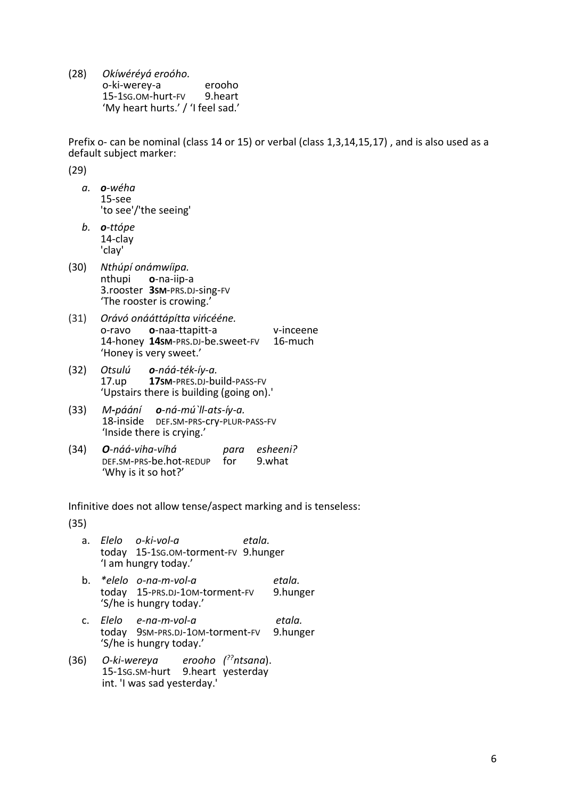(28) *Okíwéréyá eroóho.* o-ki-werey-a erooho 15-1SG.OM-hurt-FV 9.heart 'My heart hurts.' / 'I feel sad.'

Prefix o- can be nominal (class 14 or 15) or verbal (class 1,3,14,15,17) , and is also used as a default subject marker:

(29)

- *a. o-wéha* 15-see 'to see'/'the seeing'
- *b. o-ttópe* 14-clay 'clay'
- (30) *Nthúpí onámwíipa.* **o**-na-iip-a 3.rooster **3SM**-PRS.DJ-sing-FV 'The rooster is crowing.'
- (31) *Orávó onááttápítta vińcééne.* o-ravo o-naa-ttapitt-a v-inceene<br>14-honev **14s**M-prs.pJ-be.sweet-FV 16-much 14-honey 14sm-PRS.DJ-be.sweet-FV 'Honey is very sweet.'
- (32) *Otsulú o-náá-ték-íy-a.* 17.up **17SM**-PRES.DJ-build-PASS-FV 'Upstairs there is building (going on).'
- (33) *M-páání o-ná-mú`ll-ats-íy-a.* 18-inside DEF.SM-PRS-cry-PLUR-PASS-FV 'Inside there is crying.'
- (34) *O-náá-viha-víhá para esheeni?* DEF.SM-PRS-be.hot-REDUP for 'Why is it so hot?'

Infinitive does not allow tense/aspect marking and is tenseless:

(35)

- a. *Elelo o-ki-vol-a etala.* today 15-1SG.OM-torment-FV 9.hunger 'I am hungry today.'
- b. *\*elelo o-na-m-vol-a etala.* today 15-PRS.DJ-10M-torment-FV 'S/he is hungry today.'
- c. *Elelo e-na-m-vol-a etala.* today 9SM-PRS.DJ-10M-torment-FV 'S/he is hungry today.'
- (36) O-ki-wereya *??ntsana*). 15-1SG.SM-hurt 9.heart yesterday int. 'I was sad yesterday.'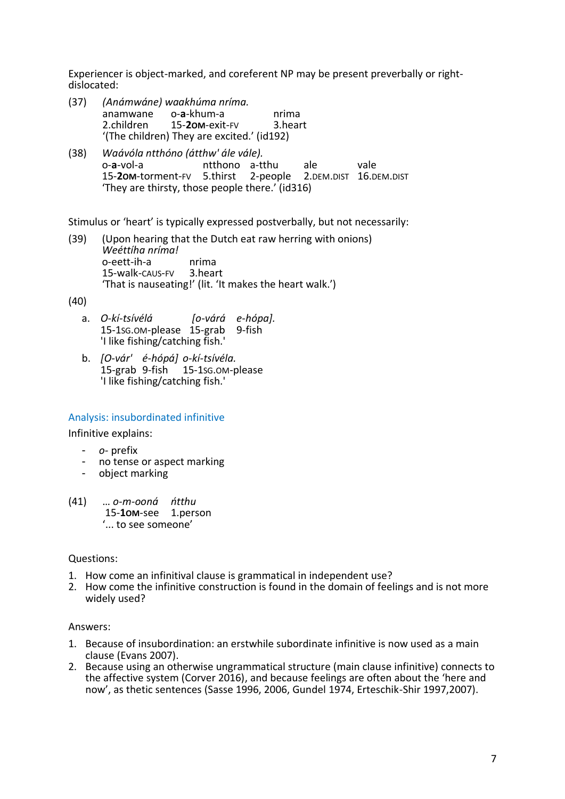Experiencer is object-marked, and coreferent NP may be present preverbally or rightdislocated:

- (37) *(Anámwáne) waakhúma nríma.* anamwane o-**a**-khum-a nrima 2.children 15-**2OM**-exit-FV 3.heart '(The children) They are excited.' (id192)
- (38) *Waávóla ntthóno (átthw' ále vále).* o-a-vol-a ntthono a-tthu ale vale<br>15-**2om**-torment-ry 5.thirst 2-people 2.pem.pist 16.p 15-**2OM**-torment-FV 5.thirst 2-people 2.DEM.DIST 16.DEM.DIST 'They are thirsty, those people there.' (id316)

Stimulus or 'heart' is typically expressed postverbally, but not necessarily:

(39) (Upon hearing that the Dutch eat raw herring with onions) *Weéttíha nríma!* o-eett-ih-a nrima 15-walk-CAUS-FV 3.heart 'That is nauseating!' (lit. 'It makes the heart walk.')

(40)

- a. *O-kí-tsívélá [o-várá e-hópa].* 15-1SG.OM-please 15-grab 9-fish 'I like fishing/catching fish.'
- b. *[O-vár' é-hópá] o-kí-tsívéla.* 15-grab 9-fish 15-1SG.OM-please 'I like fishing/catching fish.'

## Analysis: insubordinated infinitive

Infinitive explains:

- *o-* prefix
- no tense or aspect marking<br>- object marking
- object marking
- (41) … *o-m-ooná ńtthu* 15-**1OM**-see 1.person '... to see someone'

#### Questions:

- 1. How come an infinitival clause is grammatical in independent use?
- 2. How come the infinitive construction is found in the domain of feelings and is not more widely used?

#### Answers:

- 1. Because of insubordination: an erstwhile subordinate infinitive is now used as a main clause (Evans 2007).
- 2. Because using an otherwise ungrammatical structure (main clause infinitive) connects to the affective system (Corver 2016), and because feelings are often about the 'here and now', as thetic sentences (Sasse 1996, 2006, Gundel 1974, Erteschik-Shir 1997,2007).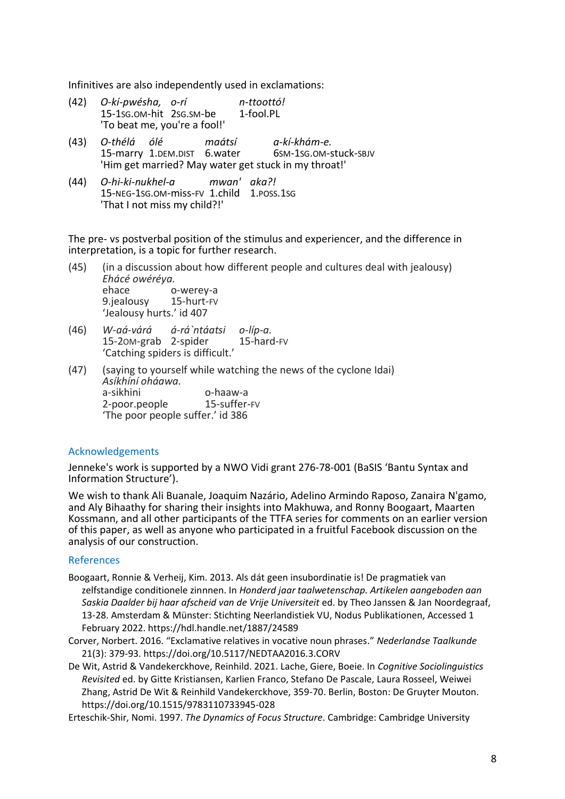Infinitives are also independently used in exclamations:

- (42) *O-kí-pwésha, o-rí n-ttoottó!*  $15-1$ SG.OM-hit  $2$ SG.SM-be 'To beat me, you're a fool!' (43) *O-thélá ólé maátsí a-kí-khám-e.* 15-marry 1.DEM.DIST 6.water 'Him get married? May water get stuck in my throat!'
- (44) *O-hi-ki-nukhel-a mwan' aka?!* 15-NEG-1SG.OM-miss-FV 1.child 1.POSS.1SG 'That I not miss my child?!'

The pre- vs postverbal position of the stimulus and experiencer, and the difference in interpretation, is a topic for further research.

- (45) (in a discussion about how different people and cultures deal with jealousy) *Ehácé owéréya.* ehace o-werey-a 9.jealousy 15-hurt-FV 'Jealousy hurts.' id 407
- (46) *W-aá-várá á-rá`ntáatsi o-líp-a.* 15-2OM-grab 2-spider 15-hard-FV 'Catching spiders is difficult.'
- (47) (saying to yourself while watching the news of the cyclone Idai) *Asíkhíní oháawa.* o-haaw-a<br>15-suffer-FV 2-poor.people 'The poor people suffer.' id 386

## Acknowledgements

Jenneke's work is supported by a NWO Vidi grant 276-78-001 (BaSIS 'Bantu Syntax and Information Structure').

We wish to thank Ali Buanale, Joaquim Nazário, Adelino Armindo Raposo, Zanaira N'gamo, and Aly Bihaathy for sharing their insights into Makhuwa, and Ronny Boogaart, Maarten Kossmann, and all other participants of the TTFA series for comments on an earlier version of this paper, as well as anyone who participated in a fruitful Facebook discussion on the analysis of our construction.

## References

- Boogaart, Ronnie & Verheij, Kim. 2013. Als dát geen insubordinatie is! De pragmatiek van zelfstandige conditionele zinnnen. In *Honderd jaar taalwetenschap. Artikelen aangeboden aan Saskia Daalder bij haar afscheid van de Vrije Universiteit* ed. by Theo Janssen & Jan Noordegraaf, 13-28. Amsterdam & Münster: Stichting Neerlandistiek VU, Nodus Publikationen, Accessed 1 February 2022. https://hdl.handle.net/1887/24589
- Corver, Norbert. 2016. "Exclamative relatives in vocative noun phrases." *Nederlandse Taalkunde* 21(3): 379-93. https://doi.org/10.5117/NEDTAA2016.3.CORV
- De Wit, Astrid & Vandekerckhove, Reinhild. 2021. Lache, Giere, Boeie. In *Cognitive Sociolinguistics Revisited* ed. by Gitte Kristiansen, Karlien Franco, Stefano De Pascale, Laura Rosseel, Weiwei Zhang, Astrid De Wit & Reinhild Vandekerckhove, 359-70. Berlin, Boston: De Gruyter Mouton. https://doi.org/10.1515/9783110733945-028

Erteschik-Shir, Nomi. 1997. *The Dynamics of Focus Structure*. Cambridge: Cambridge University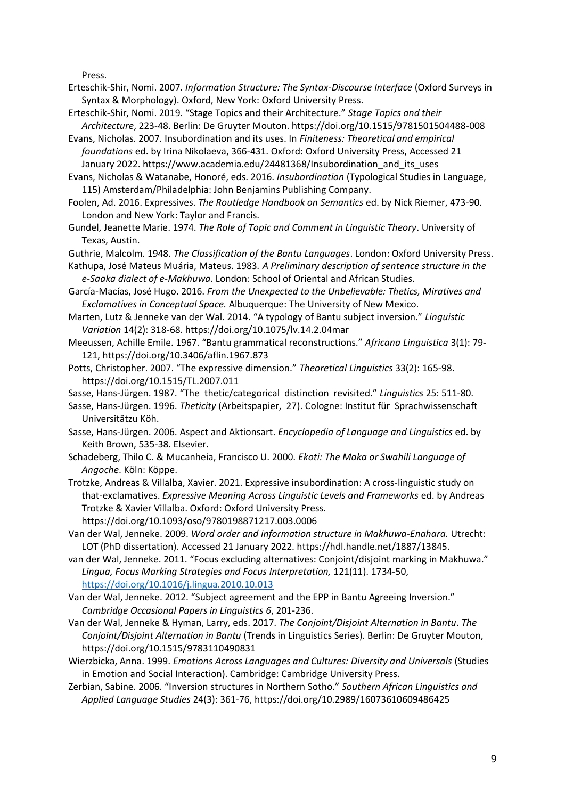Press.

- Erteschik-Shir, Nomi. 2007. *Information Structure: The Syntax-Discourse Interface* (Oxford Surveys in Syntax & Morphology). Oxford, New York: Oxford University Press.
- Erteschik-Shir, Nomi. 2019. "Stage Topics and their Architecture." *Stage Topics and their Architecture*, 223-48. Berlin: De Gruyter Mouton. https://doi.org/10.1515/9781501504488-008
- Evans, Nicholas. 2007. Insubordination and its uses. In *Finiteness: Theoretical and empirical foundations* ed. by Irina Nikolaeva, 366-431. Oxford: Oxford University Press, Accessed 21 January 2022. https://www.academia.edu/24481368/Insubordination\_and\_its\_uses

Evans, Nicholas & Watanabe, Honoré, eds. 2016. *Insubordination* (Typological Studies in Language, 115) Amsterdam/Philadelphia: John Benjamins Publishing Company.

- Foolen, Ad. 2016. Expressives. *The Routledge Handbook on Semantics* ed. by Nick Riemer, 473-90. London and New York: Taylor and Francis.
- Gundel, Jeanette Marie. 1974. *The Role of Topic and Comment in Linguistic Theory*. University of Texas, Austin.
- Guthrie, Malcolm. 1948. *The Classification of the Bantu Languages*. London: Oxford University Press.
- Kathupa, José Mateus Muária, Mateus. 1983*. A Preliminary description of sentence structure in the e-Saaka dialect of e-Makhuwa.* London: School of Oriental and African Studies.
- García-Macías, José Hugo. 2016. *From the Unexpected to the Unbelievable: Thetics, Miratives and Exclamatives in Conceptual Space.* Albuquerque: The University of New Mexico.
- Marten, Lutz & Jenneke van der Wal. 2014. "A typology of Bantu subject inversion." *Linguistic Variation* 14(2): 318-68. https://doi.org/10.1075/lv.14.2.04mar
- Meeussen, Achille Emile. 1967. "Bantu grammatical reconstructions." *Africana Linguistica* 3(1): 79- 121, https://doi.org/10.3406/aflin.1967.873
- Potts, Christopher. 2007. "The expressive dimension." *Theoretical Linguistics* 33(2): 165-98. https://doi.org/10.1515/TL.2007.011
- Sasse, Hans-Jürgen. 1987. "The thetic/categorical distinction revisited." *Linguistics* 25: 511-80.
- Sasse, Hans-Jürgen. 1996. *Theticity* (Arbeitspapier, 27). Cologne: Institut für Sprachwissenschaft Universitätzu Köh.
- Sasse, Hans-Jürgen. 2006. Aspect and Aktionsart. *Encyclopedia of Language and Linguistics* ed. by Keith Brown, 535-38. Elsevier.
- Schadeberg, Thilo C. & Mucanheia, Francisco U. 2000. *Ekoti: The Maka or Swahili Language of Angoche*. Köln: Köppe.
- Trotzke, Andreas & Villalba, Xavier. 2021. Expressive insubordination: A cross-linguistic study on that-exclamatives. *Expressive Meaning Across Linguistic Levels and Frameworks* ed. by Andreas Trotzke & Xavier Villalba. Oxford: Oxford University Press.
	- https://doi.org/10.1093/oso/9780198871217.003.0006
- Van der Wal, Jenneke. 2009. *Word order and information structure in Makhuwa-Enahara.* Utrecht: LOT (PhD dissertation). Accessed 21 January 2022. https://hdl.handle.net/1887/13845.
- van der Wal, Jenneke. 2011. "Focus excluding alternatives: Conjoint/disjoint marking in Makhuwa." *Lingua, Focus Marking Strategies and Focus Interpretation,* 121(11). 1734-50, <https://doi.org/10.1016/j.lingua.2010.10.013>
- Van der Wal, Jenneke. 2012. "Subject agreement and the EPP in Bantu Agreeing Inversion." *Cambridge Occasional Papers in Linguistics 6*, 201-236.
- Van der Wal, Jenneke & Hyman, Larry, eds. 2017. *The Conjoint/Disjoint Alternation in Bantu*. *The Conjoint/Disjoint Alternation in Bantu* (Trends in Linguistics Series). Berlin: De Gruyter Mouton, https://doi.org/10.1515/9783110490831
- Wierzbicka, Anna. 1999. *Emotions Across Languages and Cultures: Diversity and Universals* (Studies in Emotion and Social Interaction). Cambridge: Cambridge University Press.
- Zerbian, Sabine. 2006. "Inversion structures in Northern Sotho." *Southern African Linguistics and Applied Language Studies* 24(3): 361-76, https://doi.org/10.2989/16073610609486425